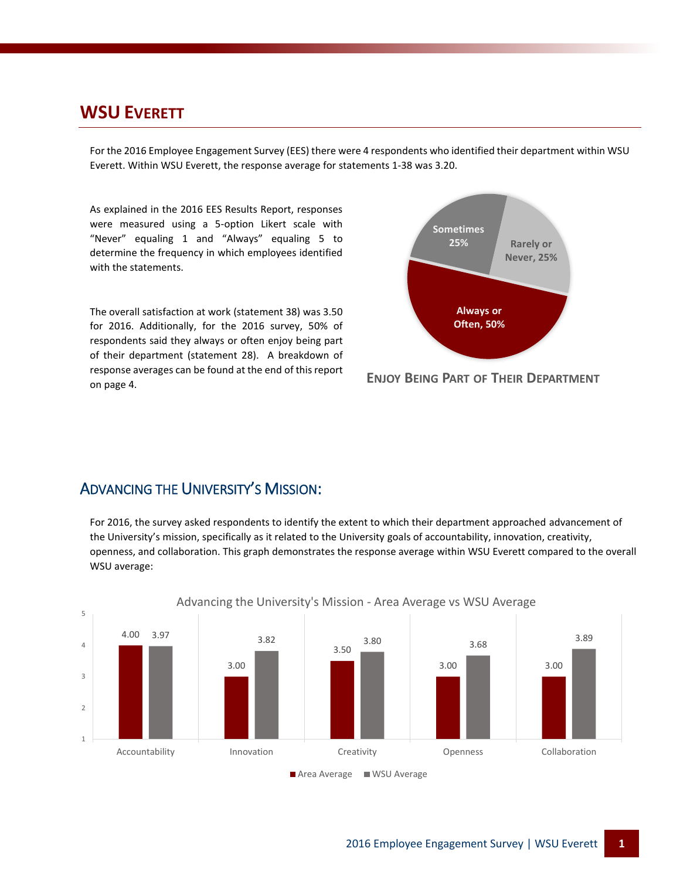#### **WSU EVERETT**

For the 2016 Employee Engagement Survey (EES) there were 4 respondents who identified their department within WSU Everett. Within WSU Everett, the response average for statements 1-38 was 3.20.

As explained in the 2016 EES Results Report, responses were measured using a 5-option Likert scale with "Never" equaling 1 and "Always" equaling 5 to determine the frequency in which employees identified with the statements.

The overall satisfaction at work (statement 38) was 3.50 for 2016. Additionally, for the 2016 survey, 50% of respondents said they always or often enjoy being part of their department (statement 28). A breakdown of response averages can be found at the end of this report on page 4.



**ENJOY BEING PART OF THEIR DEPARTMENT**

#### ADVANCING THE UNIVERSITY'S MISSION:

For 2016, the survey asked respondents to identify the extent to which their department approached advancement of the University's mission, specifically as it related to the University goals of accountability, innovation, creativity, openness, and collaboration. This graph demonstrates the response average within WSU Everett compared to the overall WSU average:



Advancing the University's Mission - Area Average vs WSU Average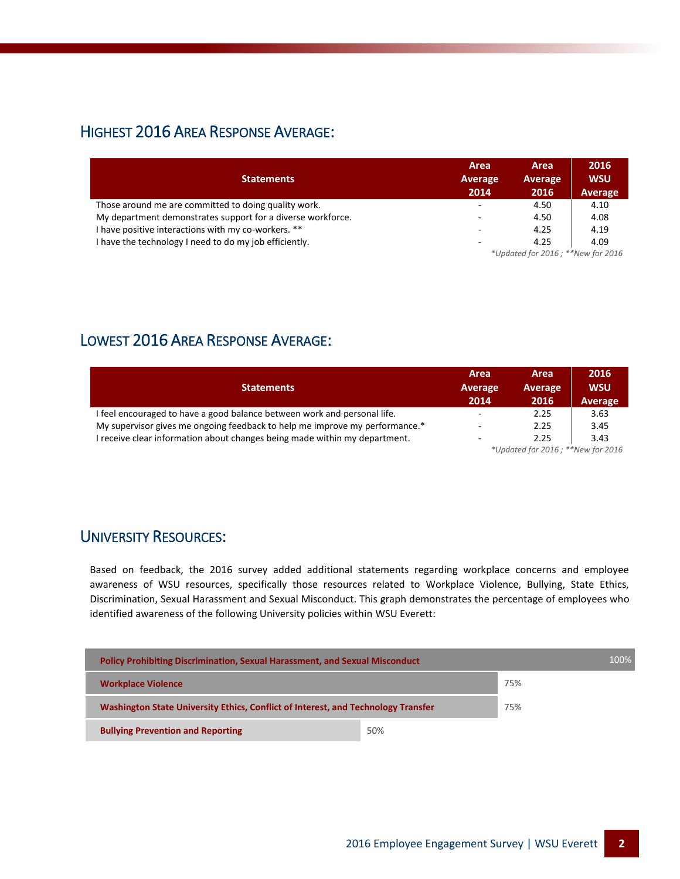### HIGHEST 2016 AREA RESPONSE AVERAGE:

| <b>Statements</b>                                           | Area<br>Average                   | Area<br>Average | 2016<br><b>WSU</b> |  |  |
|-------------------------------------------------------------|-----------------------------------|-----------------|--------------------|--|--|
|                                                             | 2014                              | 2016            | <b>Average</b>     |  |  |
| Those around me are committed to doing quality work.        | ۰.                                | 4.50            | 4.10               |  |  |
| My department demonstrates support for a diverse workforce. | ٠                                 | 4.50            | 4.08               |  |  |
| I have positive interactions with my co-workers. **         | $\overline{\phantom{a}}$          | 4.25            | 4.19               |  |  |
| have the technology I need to do my job efficiently.        | ۰                                 | 4.25            | 4.09               |  |  |
|                                                             | *Updated for 2016; **New for 2016 |                 |                    |  |  |

## LOWEST 2016 AREA RESPONSE AVERAGE:

| <b>Statements</b>                                                           | Area<br>Average<br>2014           | Area<br>Average<br>2016 | 2016<br><b>WSU</b><br>Average |  |
|-----------------------------------------------------------------------------|-----------------------------------|-------------------------|-------------------------------|--|
| I feel encouraged to have a good balance between work and personal life.    | ٠                                 | 2.25                    | 3.63                          |  |
| My supervisor gives me ongoing feedback to help me improve my performance.* | ٠                                 | 2.25                    | 3.45                          |  |
| I receive clear information about changes being made within my department.  | $\overline{\phantom{a}}$          | 2.25                    | 3.43                          |  |
|                                                                             | *Updated for 2016; **New for 2016 |                         |                               |  |

#### UNIVERSITY RESOURCES:

Based on feedback, the 2016 survey added additional statements regarding workplace concerns and employee awareness of WSU resources, specifically those resources related to Workplace Violence, Bullying, State Ethics, Discrimination, Sexual Harassment and Sexual Misconduct. This graph demonstrates the percentage of employees who identified awareness of the following University policies within WSU Everett:

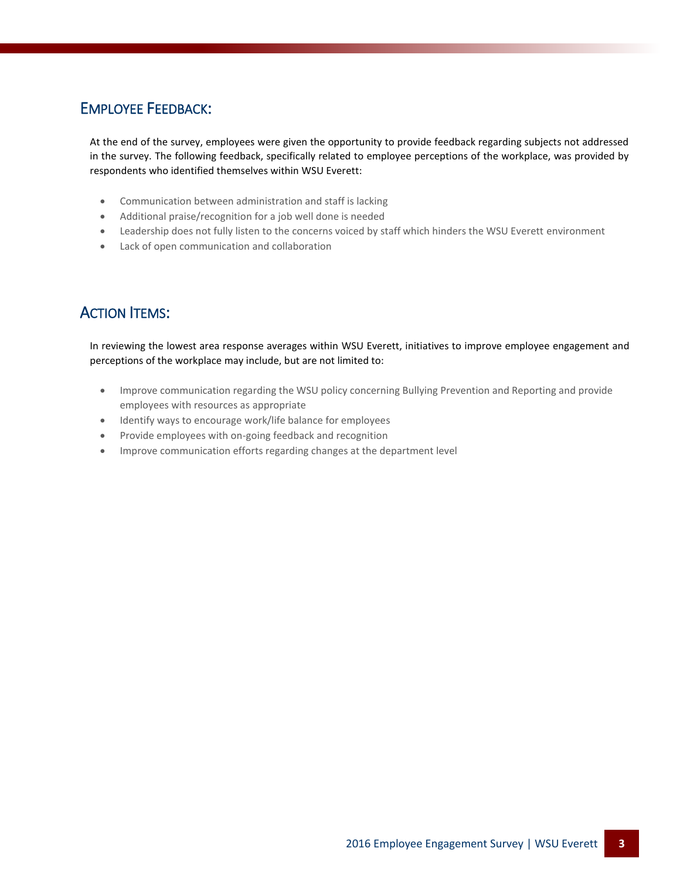### EMPLOYEE FEEDBACK:

At the end of the survey, employees were given the opportunity to provide feedback regarding subjects not addressed in the survey. The following feedback, specifically related to employee perceptions of the workplace, was provided by respondents who identified themselves within WSU Everett:

- Communication between administration and staff is lacking
- Additional praise/recognition for a job well done is needed
- Leadership does not fully listen to the concerns voiced by staff which hinders the WSU Everett environment
- Lack of open communication and collaboration

## ACTION ITEMS:

In reviewing the lowest area response averages within WSU Everett, initiatives to improve employee engagement and perceptions of the workplace may include, but are not limited to:

- Improve communication regarding the WSU policy concerning Bullying Prevention and Reporting and provide employees with resources as appropriate
- Identify ways to encourage work/life balance for employees
- Provide employees with on-going feedback and recognition
- Improve communication efforts regarding changes at the department level